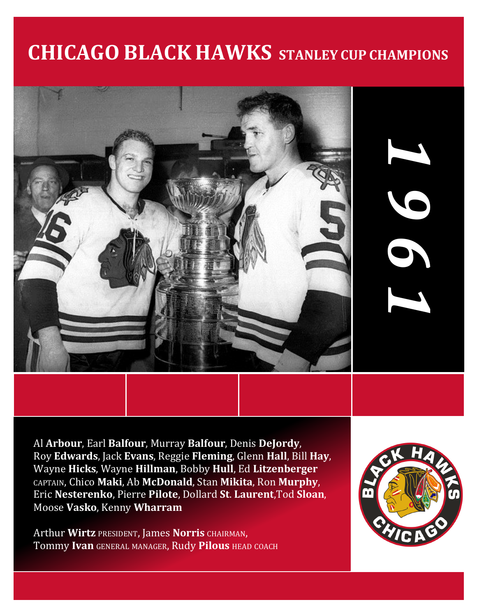# **CHICAGO BLACK HAWKS STANLEY CUP CHAMPIONS**



Al **Arbour**, Earl **Balfour**, Murray **Balfour**, Denis **DeJordy**, Roy **Edwards**, Jack **Evans**, Reggie **Fleming**, Glenn **Hall**, Bill **Hay**, Wayne **Hicks**, Wayne **Hillman**, Bobby **Hull**, Ed **Litzenberger** CAPTAIN, Chico **Maki**, Ab **McDonald**, Stan **Mikita**, Ron **Murphy**, Eric **Nesterenko**, Pierre **Pilote**, Dollard **St**. **Laurent**,Tod **Sloan**, Moose **Vasko**, Kenny **Wharram**

Arthur **Wirtz** PRESIDENT, James **Norris** CHAIRMAN, Tommy **Ivan** GENERAL MANAGER, Rudy **Pilous** HEAD COACH



*1*

*9*

*6*

*1*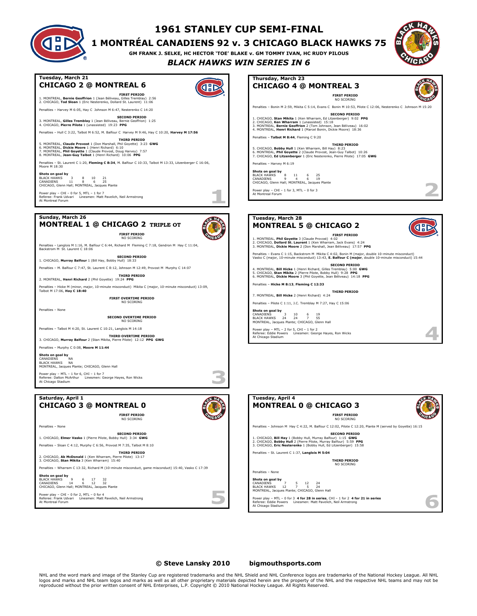#### **1961 STANLEY CUP SEMI-FINAL**

**1 MONTRÉAL CANADIENS 92 v. 3 CHICAGO BLACK HAWKS 75**

**GM FRANK J. SELKE, HC HECTOR 'TOE' BLAKE v. GM TOMMY IVAN, HC RUDY PILOUS** *BLACK HAWKS WIN SERIES IN 6*

GD



#### **Tuesday, March 21 CHICAGO 2 @ MONTREAL 6**

1. MONTREAL, **Bernie Geoffrion** 1 (Jean Béliveau, Gilles Tremblay) 2:56 2. CHICAGO, **Tod Sloan** 1 (Eric Nesterenko, Dollard St. Laurent) 11:06 Penalties – Harvey M 6:05, Hay C Johnson M 6:47, Nesterenko C 14:20

**SECOND PERIOD** 3. MONTREAL, **Gilles Tremblay** 1 (Jean Béliveau, Bernie Geoffrion) 1:25 4. CHICAGO, **Pierre Pilote** 1 (unassisted) 19:23 **PPG**

Penalties – Hull C 3:22, Talbot M 6:52, M. Balfour C Harvey M 9:46, Hay C 10:20, **Harvey M 17:56**

**FIRST PERIOD**

5. MONTREAL**, Claude Provost** 1 (Don Marshall, Ph**il Govette) 3:23 GWG**<br>6. MONTREAL**, Dickie Moore** 1 (Henri Richard) 6:10<br>7. MONTREAL**, Phil Goyette** 1 (Claude Provost, Doug Harvey) 7:57<br>8. MONTREAL, **Jean-Guy Talbot** 1 (

Penalties – St. Laurent C 1:20, **Fleming C 8:34**, M. Balfour C 10:33, Talbot M 13:33, Litzenberger C 16:06, Penalties - St.<br>Moore M 18:30

**Shots on goal by**<br>BLACK HAWKS 3 8 10 21<br>CANADIENS 11 8 6 25<br>CHICAGO, Glenn Hall; MONTREAL, Jacques Plante

Power play – CHI – 0 for 5, MTL – 1 for 7 Referee: Frank Udvari Linesmen: Matt Pavelich, Neil Armstrong At Montreal Forum

#### **Sunday, March 26 MONTREAL 1 @ CHICAGO 2 TRIPLE OT**



Penalties – Langlois M 1:16, M. Balfour C 6:44, Richard M Fleming C 7:18, Gendron M Hay C 11:04, Backstrom M St. Laurent C 18:06

**FIRST PERIOD** NO SCORING

**SECOND PERIOD** 1. CHICAGO, **Murray Balfour** 1 (Bill Hay, Bobby Hull) 18:33 Penalties – M. Balfour C 7:47, St. Laurent C 8:12, Johnson M 12:49, Provost M Murphy C 14:07

**THIRD PERIOD** 2. MONTREAL, **Henri Richard** 2 (Phil Goyette) 19:24 **PPG**

- Hicke M (minor, major, 10-minute misconduct) Mikita C (major, 10-minute misconduct) 13:09, Talbot M 17:06, **Hay C 18:40**

**FIRST OVERTIME PERIOD** NO SCORING

Penalties – None

Penalties – None

At Montreal Forum

**SECOND OVERTIME PERIOD** NO SCORING

Penalties – Talbot M 4:20, St. Laurent C 10:21, Langlois M 14:18

**THIRD OVERTIME PERIOD** 3. CHICAGO, **Murray Balfour** 2 (Stan Mikita, Pierre Pilote) 12:12 **PPG GWG**

Penalties – Murphy C 0:08, **Moore M 11:44**

**Shots on goal by** CANADIENS NA CHINOLETTS<br>BLACK HAWKS NA<br>MONTREAL, Jacques Plante; CHICAGO, Glenn Hall MONTREAL, Jacques Plante; CHICAGO, Glenn Hall

Power play – MTL – 1 for 6, CHI – 1 for 7 Referee: Dalton McArthur Linesmen: George Hayes, Ron Wicks At Chicago Stadium

#### **Saturday, April 1 CHICAGO 3 @ MONTREAL 0**

1. CHICAGO, **Elmer Vasko** 1 (Pierre Pilote, Bobby Hull) 3:34 **GWG** Penalties – Sloan C 4:12, Murphy C 6:56, Provost M 7:35, Talbot M 8:10 **THIRD PERIOD** 2. CHICAGO, **Ab McDonald** 1 (Ken Wharram, Pierre Pilote) 13:17 3. CHICAGO, **Stan Mikita** 3 (Ken Wharram) 15:40

Power play – CHI – 0 for 2, MTL – 0 for 4 Referee: Frank Udvari Linesmen: Matt Pavelich, Neil Armstrong

**Shots on goal by**<br>BLACK HAWKS 9 6 17 32<br>CANADIENS 14 6 12 32<br>CHICAGO, Glenn Hall; MONTREAL, Jacques Plante



**SECOND PERIOD**

Penalties – Wharram C 13:32, Richard M (10-minute misconduct, game misconduct) 15:40, Vasko C 17:39



**Service** 

n.

**Thursday, March 23 CHICAGO 4 @ MONTREAL 3 FIRST PERIOD** NO SCORING Penalties – Bonin M 2:59, Mikita C 5:14, Evans C Bonin M 10:53, Pilote C 12:06, Nesterenko C Johnson M 15:20 **SECOND PERIOD** 1. CHICAGO, **Stan Mikita** 1 (Ken Wharram, Ed Litzenberger) 9:02 **PPG** 2. CHICAGO, **Ken Wharram** 1 (unassisted) 15:18 3. MONTREAL, **Bernie Geoffrion** 2 (Tom Johnson, Jean Béliveau) 16:02 4. MONTREAL, **Henri Richard** 1 (Marcel Bonin, Dickie Moore) 18:36 Penalties – **Talbot M 8:44**, Fleming C 9:20 **THIRD PERIOD**<br>6. MONTREAL, **Phil Goyette** 2 (Claude Provost, Jean 8:23<br>6. MONTREAL, **Phil Goyette** 2 (Claude Provost, Jean-Guy Talbot) 10:26<br>7. CHICAGO, **Ed Litzenberger** 1 (Eric Nesterenko, Pierre Pilote) 17:05 **GWG** Penalties – Harvey M 6:19

**Shots on goal by**<br>BLACK HAWKS 8 11 6 25<br>CANADIENS 9 4 6 19<br>CHICAGO, Glenn Hall; MONTREAL, Jacques Plante

Power play – CHI – 1 for 3, MTL – 0 for 3 At Montreal Forum

|           | Tuesday, March 28                                                                                                                                                                                                                    |  |
|-----------|--------------------------------------------------------------------------------------------------------------------------------------------------------------------------------------------------------------------------------------|--|
|           | <b>MONTREAL 5 @ CHICAGO 2</b>                                                                                                                                                                                                        |  |
|           | <b>FIRST PERIOD</b>                                                                                                                                                                                                                  |  |
|           | 1. MONTREAL, Phil Goyette 3 (Claude Provost) 4:02<br>2. CHICAGO. Dollard St. Laurent 1 (Ken Wharram, Jack Evans) 4:24<br>3. MONTREAL, Dickie Moore 2 (Don Marshall, Jean Béliveau) 17:57 PPG                                         |  |
|           | Penalties - Evans C 1:15, Backstrom M Mikita C 4:02, Bonin M (major, double 10-minute misconduct)<br>Vasko C (major, 10-minute misconduct) 13:43. E. Balfour C (major, double 10-minute misconduct) 15:44                            |  |
|           | <b>SECOND PERIOD</b><br>4. MONTREAL, Bill Hicke 1 (Henri Richard, Gilles Tremblav) 5:00 GWG<br>5. CHICAGO. Stan Mikita 2 (Pierre Pilote, Bobby Hull) 9:28 PPG<br>6. MONTREAL, Dickie Moore 3 (Phil Govette, Jean Béliveau) 14:18 PPG |  |
|           | Penalties - Hicke M 8:13, Fleming C 12:33                                                                                                                                                                                            |  |
|           | <b>THIRD PERIOD</b><br>7. MONTREAL, Bill Hicke 2 (Henri Richard) 4:24                                                                                                                                                                |  |
|           | Penalties - Pilote C 1:11, J.C. Tremblav M 7:27, Hav C 15:06                                                                                                                                                                         |  |
| CANADIENS | Shots on goal by<br>3<br>10<br>6<br>19<br>BLACK HAWKS 24<br>24<br>7<br>55<br>MONTREAL, Jacques Plante; CHICAGO, Glenn Hall                                                                                                           |  |
|           | Power play - MTL - 2 for 5, CHI - 1 for 2<br>Referee: Eddie Powers Linesmen: George Haves, Ron Wicks<br>At Chicago Stadium                                                                                                           |  |

| Tuesday, April 4<br><b>MONTREAL 0 @ CHICAGO 3</b>                                                                                                                                                                              |  |
|--------------------------------------------------------------------------------------------------------------------------------------------------------------------------------------------------------------------------------|--|
| <b>FIRST PERIOD</b><br>NO SCORING                                                                                                                                                                                              |  |
| Penalties - Johnson M Hay C 4:22, M. Balfour C 12:02, Pilote C 12:20, Plante M (served by Govette) 16:15                                                                                                                       |  |
| <b>SECOND PERIOD</b><br>1. CHICAGO, Bill Hav 1 (Bobby Hull, Murray Balfour) 1:15 GWG<br>2. CHICAGO, Bobby Hull 2 (Pierre Pilote, Murray Balfour) 5:59 PPG<br>3. CHICAGO, Eric Nesterenko 1 (Bobby Hull, Ed Litzenberger) 15:58 |  |
| Penalties - St. Laurent C 1:37. Langlois M 5:04                                                                                                                                                                                |  |
| <b>THIRD PERIOD</b><br>NO SCORING                                                                                                                                                                                              |  |
| Penalties - None                                                                                                                                                                                                               |  |
| Shots on goal by<br>CANADIENS<br>5 12<br>24<br>$\overline{ }$<br>7<br>BLACK HAWKS 12<br>$-5$<br>24<br>MONTREAL, Jacques Plante; CHICAGO, Glenn Hall                                                                            |  |
| Power play - MTL - 0 for 3 4 for 28 in series, CHI - 1 for 2 4 for 21 in series<br>Referee: Eddie Powers Linesmen: Matt Pavelich, Neil Armstrong<br>At Chicago Stadium                                                         |  |

#### **© Steve Lansky 2010 [bigmouthsports.com](http://bigmouthsports.com/stanley-cup-playoff-summaries/)**

NHL and the word mark and image of the Stanley Cup are registered trademarks and the NHL Shield and NHL Conference logos are trademarks of the National Hockey League. All NHL logos and marks and NHL team logos and marks as well as all other proprietary materials depicted herein are the property of the NHL and the respective NHL teams and may not be<br>reproduced without the prior written consent o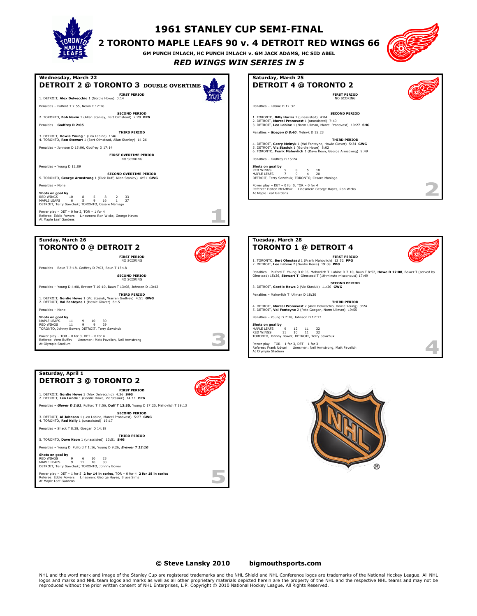

### **1961 STANLEY CUP SEMI-FINAL**

#### **2 TORONTO MAPLE LEAFS 90 v. 4 DETROIT RED WINGS 66**

**GM PUNCH IMLACH, HC PUNCH IMLACH v. GM JACK ADAMS, HC SID ABEL**



*RED WINGS WIN SERIES IN 5*



NO SCORING



Penalties – Baun T 3:18, Godfrey D 7:03, Baun T 13:18

**SECOND PERIOD** NO SCORING

Penalties – Young D 4:00, Brewer T 10:10, Baun T 13:08, Johnson D 13:42 **THIRD PERIOD**

1. DETROIT, **Gordie Howe** 1 (Vic Stasiuk, Warren Godfrey) 4:51 **GWG** 2. DETROIT, **Val Fonteyne** 1 (Howie Glover) 6:15

Penalties – None

**Shots on goal by** MAPLE LEAFS 11 9 10 30 RED WINGS 11 9 9 29 TORONTO, Johnny Bower; DETROIT, Terry Sawchuk Power play – TOR – 0 for 3, DET – 0 for 4

MAPLE LEAFS 9 11 10 30 DETROIT, Terry Sawchuk; TORONTO, Johnny Bower

Referee: Eddie Powers Linesmen: George Hayes, Bruce Sims At Maple Leaf Gardens

Power play – DET – 1 for 5 **2 for 14 in series**, TOR – 0 for 4 **2 for 18 in series**

Referee: Vern Buffey Linesmen: Matt Pavelich, Neil Armstrong At Olympia Stadium





 $\bar{a}$ **Service** 

5 bon 1



Penalties – Pulford T Young D 6:05, Mahovlich T Labine D 7:10, Baun T 8:52, **Howe D 12:08**, Bower T (served by Olmstead) 15:36, **Stewart T** Olmstead T (10-minute misconduct) 17:49

**THIRD PERIOD**

**SECOND PERIOD** 3. DETROIT, **Gordie Howe** 2 (Vic Stasiuk) 11:20 **GWG**

4. DETROIT, **Marcel Pronovost** 2 (Alex Delvecchio, Howie Young) 3:24 5. DETROIT, **Val Fonteyne** 2 (Pete Goegan, Norm Ullman) 19:55

Referee: Frank Udvari Linesmen: Neil Armstrong, Matt Pavelich At Olympia Stadium

Penalties – Mahovlich T Ullman D 18:30

Penalties – Young D 7:28, Johnson D 17:17

**Shots on goal by**<br>MAPLE LEAFS 9 12 11 32<br>RED WINGS 11 10 11 32<br>TORONTO, Johnny Bower; DETROIT, Terry Sawchuk Power play – TOR – 1 for 3, DET – 1 for 3

#### **© Steve Lansky 2010 [bigmouthsports.com](http://bigmouthsports.com/stanley-cup-playoff-summaries/)**

NHL and the word mark and image of the Stanley Cup are registered trademarks and the NHL Shield and NHL Conference logos are trademarks of the National Hockey League. All NHL logos and marks and NHL team logos and marks as well as all other proprietary materials depicted herein are the property of the NHL and the respective NHL teams and may not be<br>reproduced without the prior written consent o